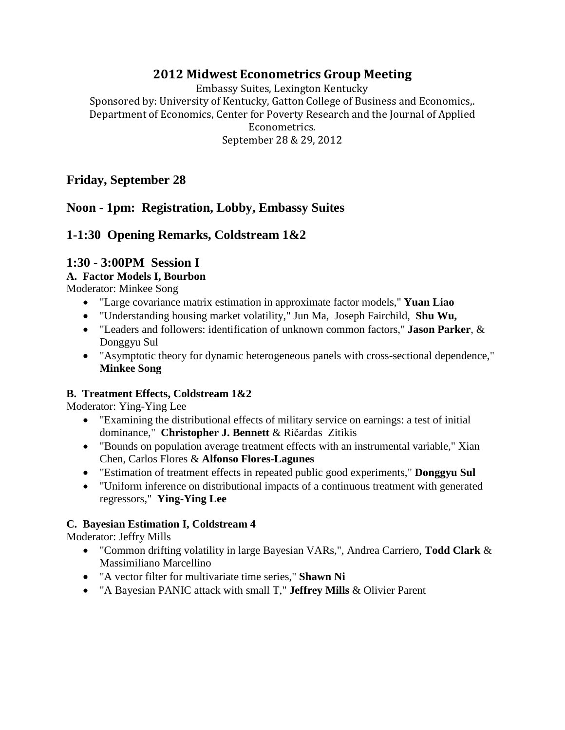## **2012 Midwest Econometrics Group Meeting**

Embassy Suites, Lexington Kentucky Sponsored by: University of Kentucky, Gatton College of Business and Economics,. Department of Economics, Center for Poverty Research and the Journal of Applied Econometrics. September 28 & 29, 2012

## **Friday, September 28**

## **Noon - 1pm: Registration, Lobby, Embassy Suites**

# **1-1:30 Opening Remarks, Coldstream 1&2**

# **1:30 - 3:00PM Session I**

### **A. Factor Models I, Bourbon**

Moderator: Minkee Song

- "Large covariance matrix estimation in approximate factor models," **Yuan Liao**
- "Understanding housing market volatility," Jun Ma, Joseph Fairchild, **Shu Wu,**
- "Leaders and followers: identification of unknown common factors," **Jason Parker**, & Donggyu Sul
- "Asymptotic theory for dynamic heterogeneous panels with cross-sectional dependence," **Minkee Song**

### **B. Treatment Effects, Coldstream 1&2**

Moderator: Ying-Ying Lee

- "Examining the distributional effects of military service on earnings: a test of initial dominance," **Christopher J. Bennett** & Ričardas Zitikis
- "Bounds on population average treatment effects with an instrumental variable," Xian Chen, Carlos Flores & **Alfonso Flores-Lagunes**
- "Estimation of treatment effects in repeated public good experiments," **Donggyu Sul**
- "Uniform inference on distributional impacts of a continuous treatment with generated regressors," **Ying-Ying Lee**

### **C. Bayesian Estimation I, Coldstream 4**

Moderator: Jeffry Mills

- "Common drifting volatility in large Bayesian VARs,", Andrea Carriero, **Todd Clark** & Massimiliano Marcellino
- "A vector filter for multivariate time series," **Shawn Ni**
- "A Bayesian PANIC attack with small T," **Jeffrey Mills** & Olivier Parent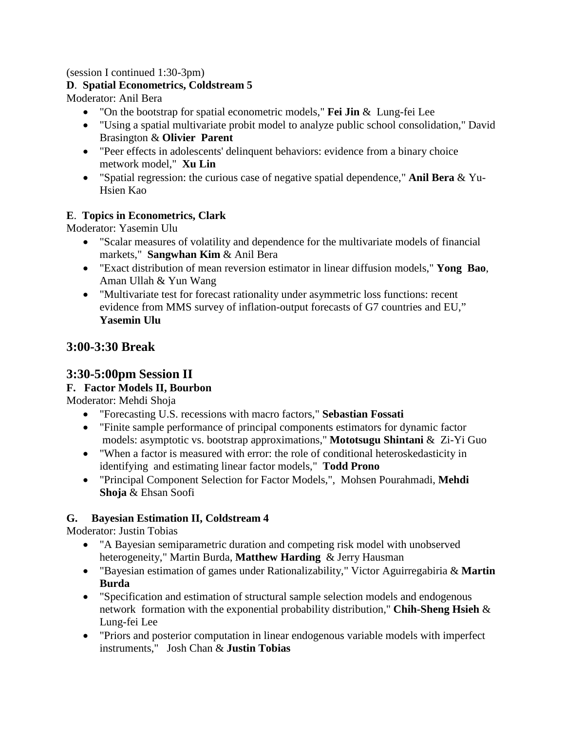(session I continued 1:30-3pm)

### **D**. **Spatial Econometrics, Coldstream 5**

Moderator: Anil Bera

- "On the bootstrap for spatial econometric models," **Fei Jin** & Lung-fei Lee
- "Using a spatial multivariate probit model to analyze public school consolidation," David Brasington & **Olivier Parent**
- "Peer effects in adolescents' delinquent behaviors: evidence from a binary choice metwork model," **Xu Lin**
- "Spatial regression: the curious case of negative spatial dependence," **Anil Bera** & Yu-Hsien Kao

### **E**. **Topics in Econometrics, Clark**

Moderator: Yasemin Ulu

- "Scalar measures of volatility and dependence for the multivariate models of financial markets," **Sangwhan Kim** & Anil Bera
- "Exact distribution of mean reversion estimator in linear diffusion models," **Yong Bao**, Aman Ullah & Yun Wang
- "Multivariate test for forecast rationality under asymmetric loss functions: recent evidence from MMS survey of inflation-output forecasts of G7 countries and EU," **Yasemin Ulu**

## **3:00-3:30 Break**

### **3:30-5:00pm Session II**

### **F. Factor Models II, Bourbon**

Moderator: Mehdi Shoja

- "Forecasting U.S. recessions with macro factors," **Sebastian Fossati**
- "Finite sample performance of principal components estimators for dynamic factor models: asymptotic vs. bootstrap approximations," **Mototsugu Shintani** & Zi-Yi Guo
- "When a factor is measured with error: the role of conditional heteroskedasticity in identifying and estimating linear factor models," **Todd Prono**
- "Principal Component Selection for Factor Models,", Mohsen Pourahmadi, **Mehdi Shoja** & Ehsan Soofi

#### **G. Bayesian Estimation II, Coldstream 4**

Moderator: Justin Tobias

- "A Bayesian semiparametric duration and competing risk model with unobserved heterogeneity," Martin Burda, **Matthew Harding** & Jerry Hausman
- "Bayesian estimation of games under Rationalizability," Victor Aguirregabiria & **Martin Burda**
- "Specification and estimation of structural sample selection models and endogenous network formation with the exponential probability distribution," **Chih-Sheng Hsieh** & Lung-fei Lee
- "Priors and posterior computation in linear endogenous variable models with imperfect instruments," Josh Chan & **Justin Tobias**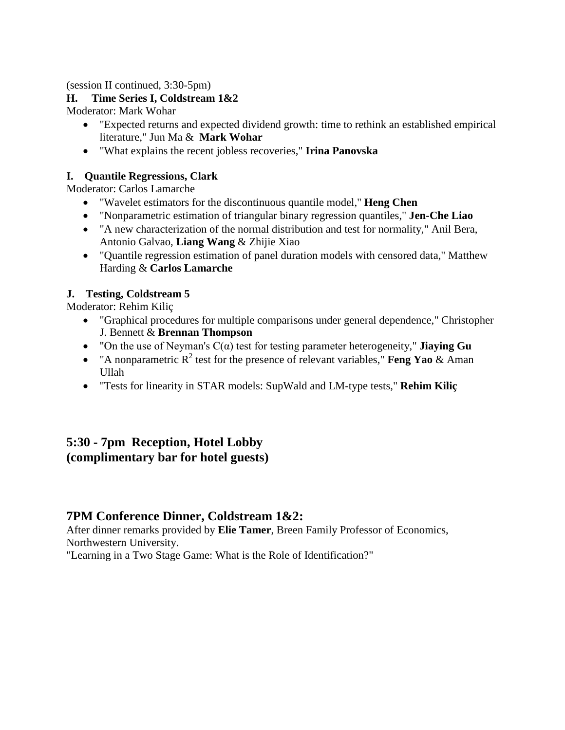#### (session II continued, 3:30-5pm)

## **H. Time Series I, Coldstream 1&2**

Moderator: Mark Wohar

- "Expected returns and expected dividend growth: time to rethink an established empirical literature," Jun Ma & **Mark Wohar**
- "What explains the recent jobless recoveries," **Irina Panovska**

# **I. Quantile Regressions, Clark**

Moderator: Carlos Lamarche

- "Wavelet estimators for the discontinuous quantile model," **Heng Chen**
- "Nonparametric estimation of triangular binary regression quantiles," **Jen-Che Liao**
- "A new characterization of the normal distribution and test for normality," Anil Bera, Antonio Galvao, **Liang Wang** & Zhijie Xiao
- "Quantile regression estimation of panel duration models with censored data," Matthew Harding & **Carlos Lamarche**

# **J. Testing, Coldstream 5**

Moderator: Rehim Kiliç

- "Graphical procedures for multiple comparisons under general dependence," Christopher J. Bennett & **Brennan Thompson**
- "On the use of Neyman's C(α) test for testing parameter heterogeneity," **Jiaying Gu**
- "A nonparametric  $R^2$  test for the presence of relevant variables," **Feng Yao** & Aman Ullah
- "Tests for linearity in STAR models: SupWald and LM-type tests," **Rehim Kiliç**

# **5:30 - 7pm Reception, Hotel Lobby (complimentary bar for hotel guests)**

# **7PM Conference Dinner, Coldstream 1&2:**

After dinner remarks provided by **Elie Tamer**, Breen Family Professor of Economics, Northwestern University.

"Learning in a Two Stage Game: What is the Role of Identification?"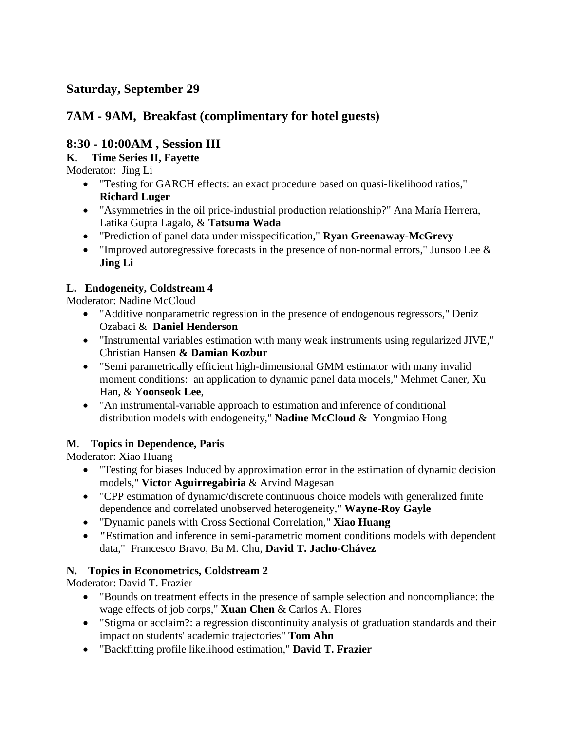# **7AM - 9AM, Breakfast (complimentary for hotel guests)**

# **8:30 - 10:00AM , Session III**

# **K**. **Time Series II, Fayette**

Moderator: Jing Li

- "Testing for GARCH effects: an exact procedure based on quasi-likelihood ratios," **Richard Luger**
- "Asymmetries in the oil price-industrial production relationship?" Ana María Herrera, Latika Gupta Lagalo, & **Tatsuma Wada**
- "Prediction of panel data under misspecification," **Ryan Greenaway-McGrevy**
- "Improved autoregressive forecasts in the presence of non-normal errors," Junsoo Lee  $\&$ **Jing Li**

# **L. Endogeneity, Coldstream 4**

Moderator: Nadine McCloud

- "Additive nonparametric regression in the presence of endogenous regressors," Deniz Ozabaci & **Daniel Henderson**
- "Instrumental variables estimation with many weak instruments using regularized JIVE," Christian Hansen **& Damian Kozbur**
- "Semi parametrically efficient high-dimensional GMM estimator with many invalid moment conditions: an application to dynamic panel data models," Mehmet Caner, Xu Han, & Y**oonseok Lee**,
- "An instrumental-variable approach to estimation and inference of conditional distribution models with endogeneity," **Nadine McCloud** & Yongmiao Hong

# **M**. **Topics in Dependence, Paris**

Moderator: Xiao Huang

- "Testing for biases Induced by approximation error in the estimation of dynamic decision models," **Victor Aguirregabiria** & Arvind Magesan
- "CPP estimation of dynamic/discrete continuous choice models with generalized finite dependence and correlated unobserved heterogeneity," **Wayne-Roy Gayle**
- "Dynamic panels with Cross Sectional Correlation," **Xiao Huang**
- **"**Estimation and inference in semi-parametric moment conditions models with dependent data," Francesco Bravo, Ba M. Chu, **David T. Jacho-Chávez**

# **N. Topics in Econometrics, Coldstream 2**

Moderator: David T. Frazier

- "Bounds on treatment effects in the presence of sample selection and noncompliance: the wage effects of job corps," **Xuan Chen** & Carlos A. Flores
- "Stigma or acclaim?: a regression discontinuity analysis of graduation standards and their impact on students' academic trajectories" **Tom Ahn**
- "Backfitting profile likelihood estimation," **David T. Frazier**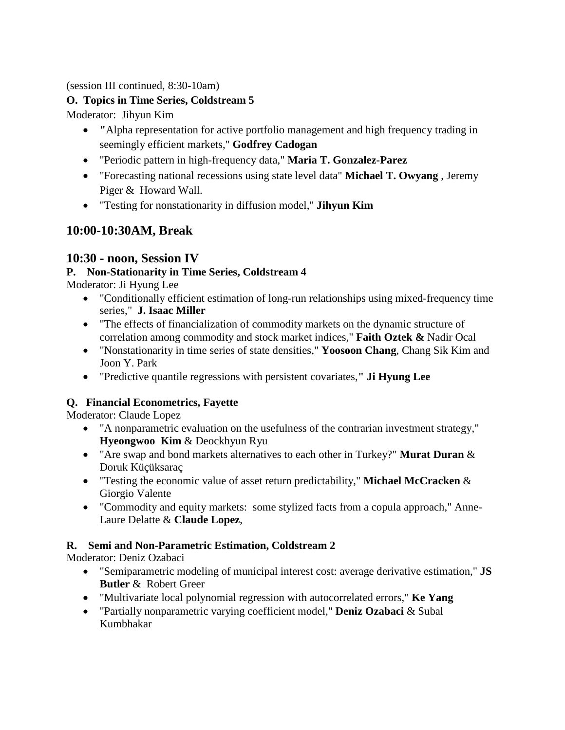(session III continued, 8:30-10am)

### **O. Topics in Time Series, Coldstream 5**

Moderator: Jihyun Kim

- **"**Alpha representation for active portfolio management and high frequency trading in seemingly efficient markets," **Godfrey Cadogan**
- "Periodic pattern in high-frequency data," **Maria T. Gonzalez-Parez**
- "Forecasting national recessions using state level data" **Michael T. Owyang** , Jeremy Piger & Howard Wall.
- "Testing for nonstationarity in diffusion model," **Jihyun Kim**

# **10:00-10:30AM, Break**

# **10:30 - noon, Session IV**

## **P. Non-Stationarity in Time Series, Coldstream 4**

Moderator: Ji Hyung Lee

- "Conditionally efficient estimation of long-run relationships using mixed-frequency time series," **J. Isaac Miller**
- "The effects of financialization of commodity markets on the dynamic structure of correlation among commodity and stock market indices," **Faith Oztek &** Nadir Ocal
- "Nonstationarity in time series of state densities," **Yoosoon Chang**, Chang Sik Kim and Joon Y. Park
- "Predictive quantile regressions with persistent covariates,**" Ji Hyung Lee**

## **Q. Financial Econometrics, Fayette**

Moderator: Claude Lopez

- "A nonparametric evaluation on the usefulness of the contrarian investment strategy," **Hyeongwoo Kim** & Deockhyun Ryu
- "Are swap and bond markets alternatives to each other in Turkey?" **Murat Duran** & Doruk Küçüksaraç
- "Testing the economic value of asset return predictability," **Michael McCracken** & Giorgio Valente
- "Commodity and equity markets: some stylized facts from a copula approach," Anne-Laure Delatte & **Claude Lopez**,

## **R. Semi and Non-Parametric Estimation, Coldstream 2**

Moderator: Deniz Ozabaci

- "Semiparametric modeling of municipal interest cost: average derivative estimation," **JS Butler** & Robert Greer
- "Multivariate local polynomial regression with autocorrelated errors," **Ke Yang**
- "Partially nonparametric varying coefficient model," **Deniz Ozabaci** & Subal Kumbhakar